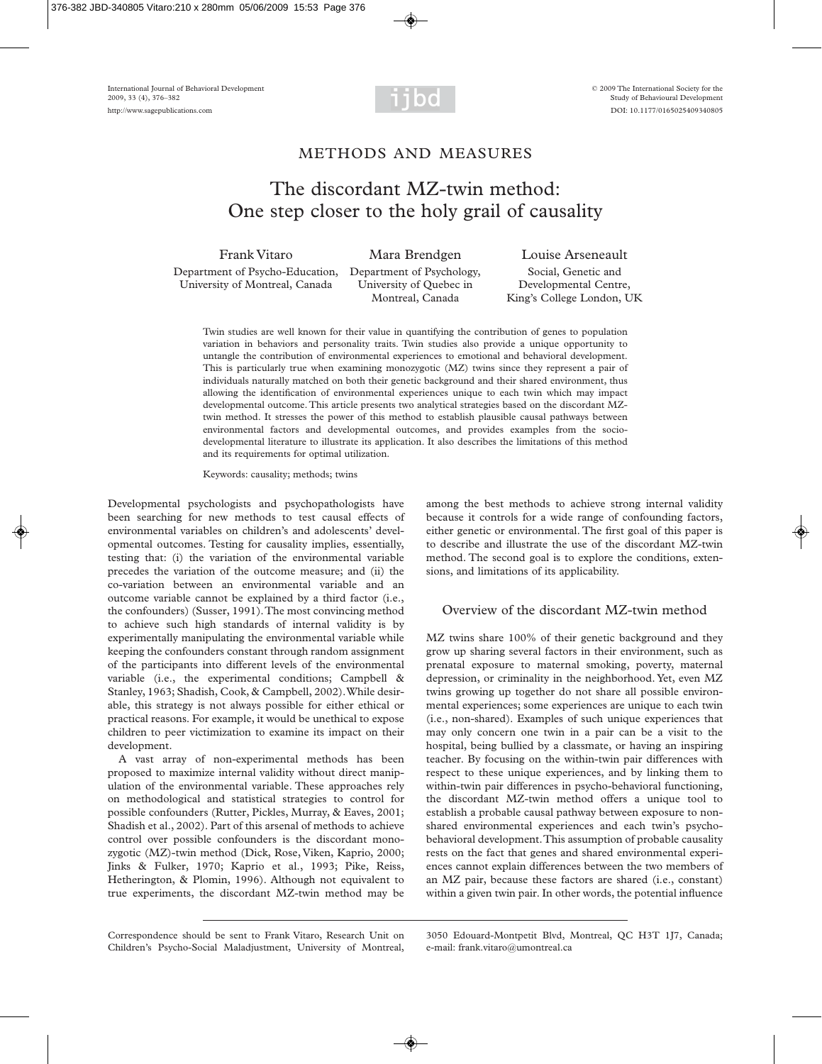

## METHODS AND MEASURES

# The discordant MZ-twin method: One step closer to the holy grail of causality

Department of Psycho-Education, Department of Psychology, Social, Genetic and University of Montreal, Canada University of Quebec in Developmental Centre,

Frank Vitaro Mara Brendgen Louise Arseneault Montreal, Canada King's College London, UK

Twin studies are well known for their value in quantifying the contribution of genes to population variation in behaviors and personality traits. Twin studies also provide a unique opportunity to untangle the contribution of environmental experiences to emotional and behavioral development. This is particularly true when examining monozygotic (MZ) twins since they represent a pair of individuals naturally matched on both their genetic background and their shared environment, thus allowing the identification of environmental experiences unique to each twin which may impact developmental outcome. This article presents two analytical strategies based on the discordant MZtwin method. It stresses the power of this method to establish plausible causal pathways between environmental factors and developmental outcomes, and provides examples from the sociodevelopmental literature to illustrate its application. It also describes the limitations of this method and its requirements for optimal utilization.

Keywords: causality; methods; twins

Developmental psychologists and psychopathologists have been searching for new methods to test causal effects of environmental variables on children's and adolescents' developmental outcomes. Testing for causality implies, essentially, testing that: (i) the variation of the environmental variable precedes the variation of the outcome measure; and (ii) the co-variation between an environmental variable and an outcome variable cannot be explained by a third factor (i.e., the confounders) (Susser, 1991). The most convincing method to achieve such high standards of internal validity is by experimentally manipulating the environmental variable while keeping the confounders constant through random assignment of the participants into different levels of the environmental variable (i.e., the experimental conditions; Campbell & Stanley, 1963; Shadish, Cook, & Campbell, 2002). While desirable, this strategy is not always possible for either ethical or practical reasons. For example, it would be unethical to expose children to peer victimization to examine its impact on their development.

A vast array of non-experimental methods has been proposed to maximize internal validity without direct manipulation of the environmental variable. These approaches rely on methodological and statistical strategies to control for possible confounders (Rutter, Pickles, Murray, & Eaves, 2001; Shadish et al., 2002). Part of this arsenal of methods to achieve control over possible confounders is the discordant monozygotic (MZ)-twin method (Dick, Rose, Viken, Kaprio, 2000; Jinks & Fulker, 1970; Kaprio et al., 1993; Pike, Reiss, Hetherington, & Plomin, 1996). Although not equivalent to true experiments, the discordant MZ-twin method may be among the best methods to achieve strong internal validity because it controls for a wide range of confounding factors, either genetic or environmental. The first goal of this paper is to describe and illustrate the use of the discordant MZ-twin method. The second goal is to explore the conditions, extensions, and limitations of its applicability.

## Overview of the discordant MZ-twin method

MZ twins share 100% of their genetic background and they grow up sharing several factors in their environment, such as prenatal exposure to maternal smoking, poverty, maternal depression, or criminality in the neighborhood. Yet, even MZ twins growing up together do not share all possible environmental experiences; some experiences are unique to each twin (i.e., non-shared). Examples of such unique experiences that may only concern one twin in a pair can be a visit to the hospital, being bullied by a classmate, or having an inspiring teacher. By focusing on the within-twin pair differences with respect to these unique experiences, and by linking them to within-twin pair differences in psycho-behavioral functioning, the discordant MZ-twin method offers a unique tool to establish a probable causal pathway between exposure to nonshared environmental experiences and each twin's psychobehavioral development. This assumption of probable causality rests on the fact that genes and shared environmental experiences cannot explain differences between the two members of an MZ pair, because these factors are shared (i.e., constant) within a given twin pair. In other words, the potential influence

Correspondence should be sent to Frank Vitaro, Research Unit on Children's Psycho-Social Maladjustment, University of Montreal,

<sup>3050</sup> Edouard-Montpetit Blvd, Montreal, QC H3T 1J7, Canada; e-mail: frank.vitaro@umontreal.ca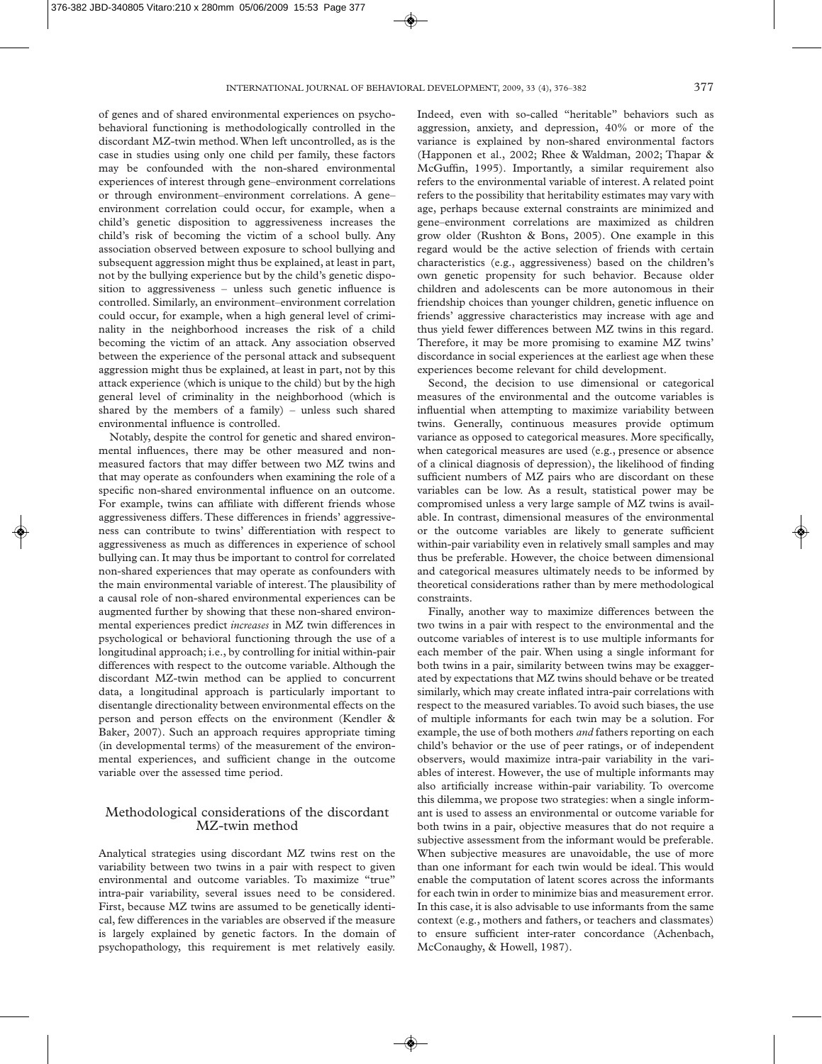of genes and of shared environmental experiences on psychobehavioral functioning is methodologically controlled in the discordant MZ-twin method. When left uncontrolled, as is the case in studies using only one child per family, these factors may be confounded with the non-shared environmental experiences of interest through gene–environment correlations or through environment–environment correlations. A gene– environment correlation could occur, for example, when a child's genetic disposition to aggressiveness increases the child's risk of becoming the victim of a school bully. Any association observed between exposure to school bullying and subsequent aggression might thus be explained, at least in part, not by the bullying experience but by the child's genetic disposition to aggressiveness – unless such genetic influence is controlled. Similarly, an environment–environment correlation could occur, for example, when a high general level of criminality in the neighborhood increases the risk of a child becoming the victim of an attack. Any association observed between the experience of the personal attack and subsequent aggression might thus be explained, at least in part, not by this attack experience (which is unique to the child) but by the high general level of criminality in the neighborhood (which is shared by the members of a family) – unless such shared environmental influence is controlled.

Notably, despite the control for genetic and shared environmental influences, there may be other measured and nonmeasured factors that may differ between two MZ twins and that may operate as confounders when examining the role of a specific non-shared environmental influence on an outcome. For example, twins can affiliate with different friends whose aggressiveness differs. These differences in friends' aggressiveness can contribute to twins' differentiation with respect to aggressiveness as much as differences in experience of school bullying can. It may thus be important to control for correlated non-shared experiences that may operate as confounders with the main environmental variable of interest. The plausibility of a causal role of non-shared environmental experiences can be augmented further by showing that these non-shared environmental experiences predict *increases* in MZ twin differences in psychological or behavioral functioning through the use of a longitudinal approach; i.e., by controlling for initial within-pair differences with respect to the outcome variable. Although the discordant MZ-twin method can be applied to concurrent data, a longitudinal approach is particularly important to disentangle directionality between environmental effects on the person and person effects on the environment (Kendler & Baker, 2007). Such an approach requires appropriate timing (in developmental terms) of the measurement of the environmental experiences, and sufficient change in the outcome variable over the assessed time period.

## Methodological considerations of the discordant MZ-twin method

Analytical strategies using discordant MZ twins rest on the variability between two twins in a pair with respect to given environmental and outcome variables. To maximize "true" intra-pair variability, several issues need to be considered. First, because MZ twins are assumed to be genetically identical, few differences in the variables are observed if the measure is largely explained by genetic factors. In the domain of psychopathology, this requirement is met relatively easily.

Indeed, even with so-called "heritable" behaviors such as aggression, anxiety, and depression, 40% or more of the variance is explained by non-shared environmental factors (Happonen et al., 2002; Rhee & Waldman, 2002; Thapar & McGuffin, 1995). Importantly, a similar requirement also refers to the environmental variable of interest. A related point refers to the possibility that heritability estimates may vary with age, perhaps because external constraints are minimized and gene–environment correlations are maximized as children grow older (Rushton & Bons, 2005). One example in this regard would be the active selection of friends with certain characteristics (e.g., aggressiveness) based on the children's own genetic propensity for such behavior. Because older children and adolescents can be more autonomous in their friendship choices than younger children, genetic influence on friends' aggressive characteristics may increase with age and thus yield fewer differences between MZ twins in this regard. Therefore, it may be more promising to examine MZ twins' discordance in social experiences at the earliest age when these experiences become relevant for child development.

Second, the decision to use dimensional or categorical measures of the environmental and the outcome variables is influential when attempting to maximize variability between twins. Generally, continuous measures provide optimum variance as opposed to categorical measures. More specifically, when categorical measures are used (e.g., presence or absence of a clinical diagnosis of depression), the likelihood of finding sufficient numbers of MZ pairs who are discordant on these variables can be low. As a result, statistical power may be compromised unless a very large sample of MZ twins is available. In contrast, dimensional measures of the environmental or the outcome variables are likely to generate sufficient within-pair variability even in relatively small samples and may thus be preferable. However, the choice between dimensional and categorical measures ultimately needs to be informed by theoretical considerations rather than by mere methodological constraints.

Finally, another way to maximize differences between the two twins in a pair with respect to the environmental and the outcome variables of interest is to use multiple informants for each member of the pair. When using a single informant for both twins in a pair, similarity between twins may be exaggerated by expectations that MZ twins should behave or be treated similarly, which may create inflated intra-pair correlations with respect to the measured variables. To avoid such biases, the use of multiple informants for each twin may be a solution. For example, the use of both mothers *and* fathers reporting on each child's behavior or the use of peer ratings, or of independent observers, would maximize intra-pair variability in the variables of interest. However, the use of multiple informants may also artificially increase within-pair variability. To overcome this dilemma, we propose two strategies: when a single informant is used to assess an environmental or outcome variable for both twins in a pair, objective measures that do not require a subjective assessment from the informant would be preferable. When subjective measures are unavoidable, the use of more than one informant for each twin would be ideal. This would enable the computation of latent scores across the informants for each twin in order to minimize bias and measurement error. In this case, it is also advisable to use informants from the same context (e.g., mothers and fathers, or teachers and classmates) to ensure sufficient inter-rater concordance (Achenbach, McConaughy, & Howell, 1987).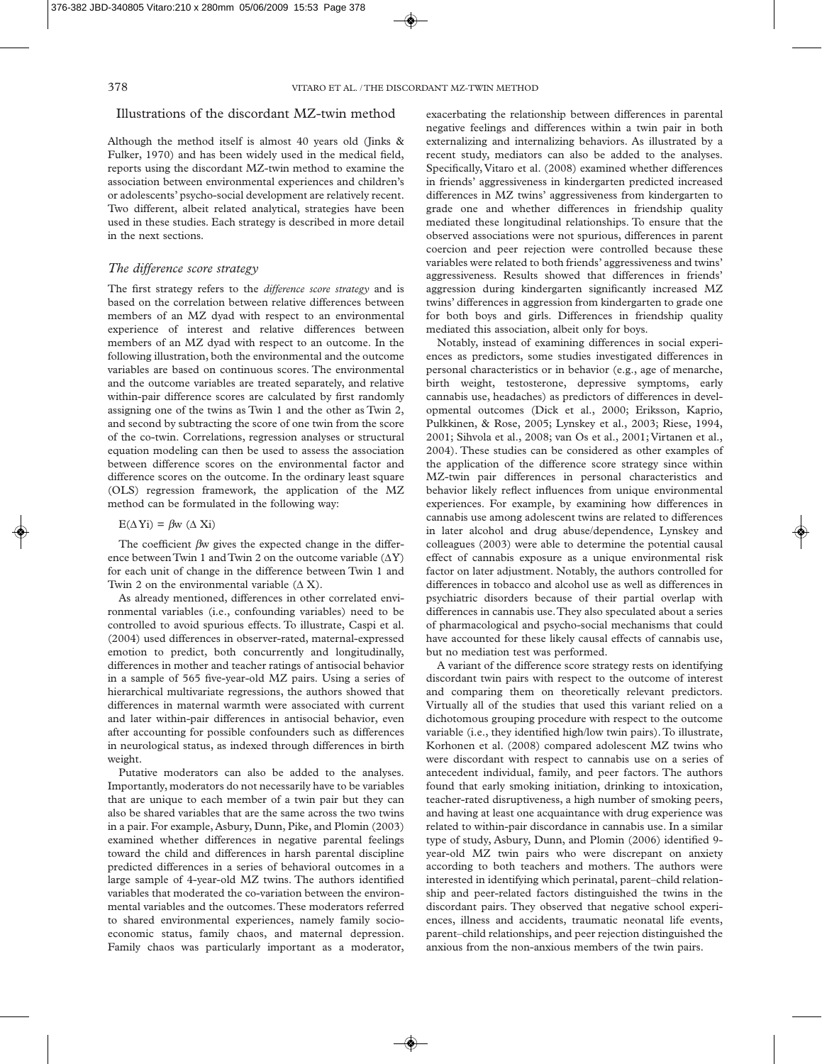## Illustrations of the discordant MZ-twin method

Although the method itself is almost 40 years old (Jinks & Fulker, 1970) and has been widely used in the medical field, reports using the discordant MZ-twin method to examine the association between environmental experiences and children's or adolescents' psycho-social development are relatively recent. Two different, albeit related analytical, strategies have been used in these studies. Each strategy is described in more detail in the next sections.

## *The difference score strategy*

The first strategy refers to the *difference score strategy* and is based on the correlation between relative differences between members of an MZ dyad with respect to an environmental experience of interest and relative differences between members of an MZ dyad with respect to an outcome. In the following illustration, both the environmental and the outcome variables are based on continuous scores. The environmental and the outcome variables are treated separately, and relative within-pair difference scores are calculated by first randomly assigning one of the twins as Twin 1 and the other as Twin 2, and second by subtracting the score of one twin from the score of the co-twin. Correlations, regression analyses or structural equation modeling can then be used to assess the association between difference scores on the environmental factor and difference scores on the outcome. In the ordinary least square (OLS) regression framework, the application of the MZ method can be formulated in the following way:

 $E(\Delta Y_i) = \beta w (\Delta X_i)$ 

The coefficient  $\beta w$  gives the expected change in the difference between Twin 1 and Twin 2 on the outcome variable  $(\Delta Y)$ for each unit of change in the difference between Twin 1 and Twin 2 on the environmental variable  $(\Delta X)$ .

As already mentioned, differences in other correlated environmental variables (i.e., confounding variables) need to be controlled to avoid spurious effects. To illustrate, Caspi et al. (2004) used differences in observer-rated, maternal-expressed emotion to predict, both concurrently and longitudinally, differences in mother and teacher ratings of antisocial behavior in a sample of 565 five-year-old MZ pairs. Using a series of hierarchical multivariate regressions, the authors showed that differences in maternal warmth were associated with current and later within-pair differences in antisocial behavior, even after accounting for possible confounders such as differences in neurological status, as indexed through differences in birth weight.

Putative moderators can also be added to the analyses. Importantly, moderators do not necessarily have to be variables that are unique to each member of a twin pair but they can also be shared variables that are the same across the two twins in a pair. For example, Asbury, Dunn, Pike, and Plomin (2003) examined whether differences in negative parental feelings toward the child and differences in harsh parental discipline predicted differences in a series of behavioral outcomes in a large sample of 4-year-old MZ twins. The authors identified variables that moderated the co-variation between the environmental variables and the outcomes. These moderators referred to shared environmental experiences, namely family socioeconomic status, family chaos, and maternal depression. Family chaos was particularly important as a moderator, exacerbating the relationship between differences in parental negative feelings and differences within a twin pair in both externalizing and internalizing behaviors. As illustrated by a recent study, mediators can also be added to the analyses. Specifically, Vitaro et al. (2008) examined whether differences in friends' aggressiveness in kindergarten predicted increased differences in MZ twins' aggressiveness from kindergarten to grade one and whether differences in friendship quality mediated these longitudinal relationships. To ensure that the observed associations were not spurious, differences in parent coercion and peer rejection were controlled because these variables were related to both friends' aggressiveness and twins' aggressiveness. Results showed that differences in friends' aggression during kindergarten significantly increased MZ twins' differences in aggression from kindergarten to grade one for both boys and girls. Differences in friendship quality mediated this association, albeit only for boys.

Notably, instead of examining differences in social experiences as predictors, some studies investigated differences in personal characteristics or in behavior (e.g., age of menarche, birth weight, testosterone, depressive symptoms, early cannabis use, headaches) as predictors of differences in developmental outcomes (Dick et al., 2000; Eriksson, Kaprio, Pulkkinen, & Rose, 2005; Lynskey et al., 2003; Riese, 1994, 2001; Sihvola et al., 2008; van Os et al., 2001; Virtanen et al., 2004). These studies can be considered as other examples of the application of the difference score strategy since within MZ-twin pair differences in personal characteristics and behavior likely reflect influences from unique environmental experiences. For example, by examining how differences in cannabis use among adolescent twins are related to differences in later alcohol and drug abuse/dependence, Lynskey and colleagues (2003) were able to determine the potential causal effect of cannabis exposure as a unique environmental risk factor on later adjustment. Notably, the authors controlled for differences in tobacco and alcohol use as well as differences in psychiatric disorders because of their partial overlap with differences in cannabis use. They also speculated about a series of pharmacological and psycho-social mechanisms that could have accounted for these likely causal effects of cannabis use, but no mediation test was performed.

A variant of the difference score strategy rests on identifying discordant twin pairs with respect to the outcome of interest and comparing them on theoretically relevant predictors. Virtually all of the studies that used this variant relied on a dichotomous grouping procedure with respect to the outcome variable (i.e., they identified high/low twin pairs). To illustrate, Korhonen et al. (2008) compared adolescent MZ twins who were discordant with respect to cannabis use on a series of antecedent individual, family, and peer factors. The authors found that early smoking initiation, drinking to intoxication, teacher-rated disruptiveness, a high number of smoking peers, and having at least one acquaintance with drug experience was related to within-pair discordance in cannabis use. In a similar type of study, Asbury, Dunn, and Plomin (2006) identified 9 year-old MZ twin pairs who were discrepant on anxiety according to both teachers and mothers. The authors were interested in identifying which perinatal, parent–child relationship and peer-related factors distinguished the twins in the discordant pairs. They observed that negative school experiences, illness and accidents, traumatic neonatal life events, parent–child relationships, and peer rejection distinguished the anxious from the non-anxious members of the twin pairs.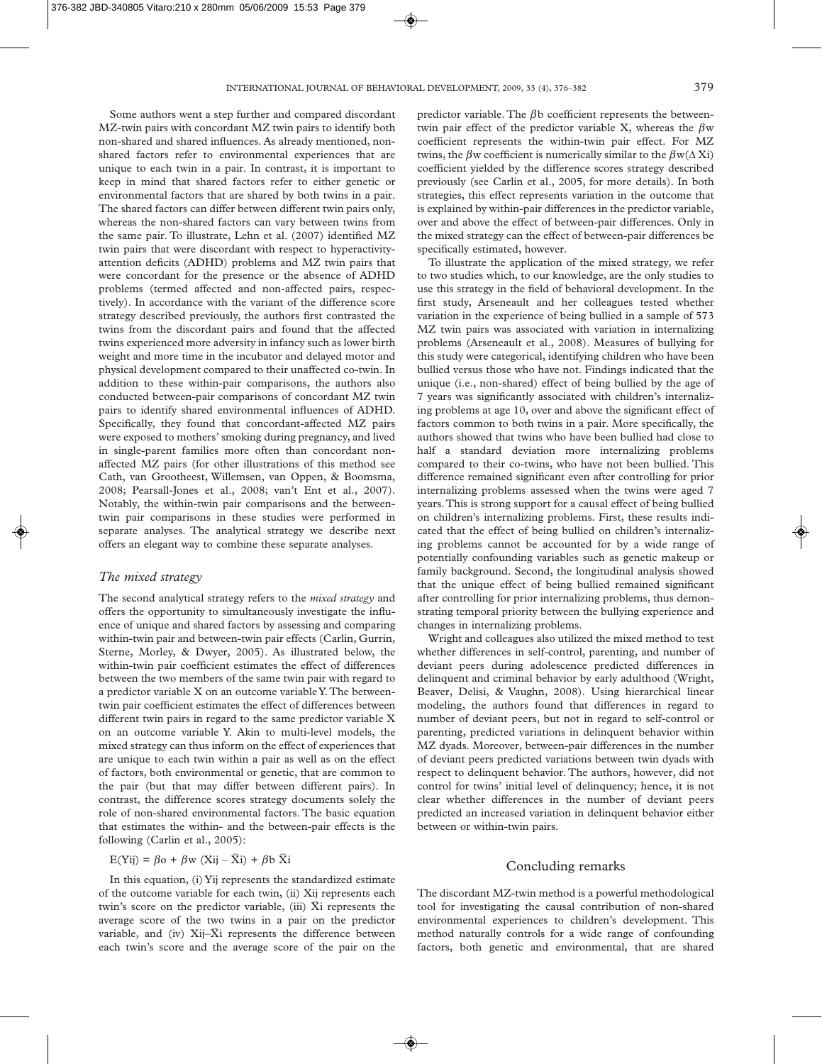Some authors went a step further and compared discordant MZ-twin pairs with concordant MZ twin pairs to identify both non-shared and shared influences. As already mentioned, nonshared factors refer to environmental experiences that are unique to each twin in a pair. In contrast, it is important to keep in mind that shared factors refer to either genetic or environmental factors that are shared by both twins in a pair. The shared factors can differ between different twin pairs only, whereas the non-shared factors can vary between twins from the same pair. To illustrate, Lehn et al. (2007) identified MZ twin pairs that were discordant with respect to hyperactivityattention deficits (ADHD) problems and MZ twin pairs that were concordant for the presence or the absence of ADHD problems (termed affected and non-affected pairs, respectively). In accordance with the variant of the difference score strategy described previously, the authors first contrasted the twins from the discordant pairs and found that the affected twins experienced more adversity in infancy such as lower birth weight and more time in the incubator and delayed motor and physical development compared to their unaffected co-twin. In addition to these within-pair comparisons, the authors also conducted between-pair comparisons of concordant MZ twin pairs to identify shared environmental influences of ADHD. Specifically, they found that concordant-affected MZ pairs were exposed to mothers' smoking during pregnancy, and lived in single-parent families more often than concordant nonaffected MZ pairs (for other illustrations of this method see Cath, van Grootheest, Willemsen, van Oppen, & Boomsma, 2008; Pearsall-Jones et al., 2008; van't Ent et al., 2007). Notably, the within-twin pair comparisons and the betweentwin pair comparisons in these studies were performed in separate analyses. The analytical strategy we describe next offers an elegant way to combine these separate analyses.

## *The mixed strategy*

The second analytical strategy refers to the *mixed strategy* and offers the opportunity to simultaneously investigate the influence of unique and shared factors by assessing and comparing within-twin pair and between-twin pair effects (Carlin, Gurrin, Sterne, Morley, & Dwyer, 2005). As illustrated below, the within-twin pair coefficient estimates the effect of differences between the two members of the same twin pair with regard to a predictor variable X on an outcome variable Y. The betweentwin pair coefficient estimates the effect of differences between different twin pairs in regard to the same predictor variable X on an outcome variable Y. Akin to multi-level models, the mixed strategy can thus inform on the effect of experiences that are unique to each twin within a pair as well as on the effect of factors, both environmental or genetic, that are common to the pair (but that may differ between different pairs). In contrast, the difference scores strategy documents solely the role of non-shared environmental factors. The basic equation that estimates the within- and the between-pair effects is the following (Carlin et al., 2005):

$$
E(Yij) = \beta o + \beta w (Xij - \bar{X}i) + \beta b \bar{X}i
$$

In this equation, (i) Yij represents the standardized estimate of the outcome variable for each twin, (ii) Xij represents each twin's score on the predictor variable, (iii)  $\bar{X}$  i represents the average score of the two twins in a pair on the predictor variable, and (iv) Xij– $\overline{X}$ i represents the difference between each twin's score and the average score of the pair on the predictor variable. The  $\beta$ b coefficient represents the betweentwin pair effect of the predictor variable X, whereas the  $\beta w$ coefficient represents the within-twin pair effect. For MZ twins, the  $\beta$ w coefficient is numerically similar to the  $\beta$ w( $\Delta$ Xi) coefficient yielded by the difference scores strategy described previously (see Carlin et al., 2005, for more details). In both strategies, this effect represents variation in the outcome that is explained by within-pair differences in the predictor variable, over and above the effect of between-pair differences. Only in the mixed strategy can the effect of between-pair differences be specifically estimated, however.

To illustrate the application of the mixed strategy, we refer to two studies which, to our knowledge, are the only studies to use this strategy in the field of behavioral development. In the first study, Arseneault and her colleagues tested whether variation in the experience of being bullied in a sample of 573 MZ twin pairs was associated with variation in internalizing problems (Arseneault et al., 2008). Measures of bullying for this study were categorical, identifying children who have been bullied versus those who have not. Findings indicated that the unique (i.e., non-shared) effect of being bullied by the age of 7 years was significantly associated with children's internalizing problems at age 10, over and above the significant effect of factors common to both twins in a pair. More specifically, the authors showed that twins who have been bullied had close to half a standard deviation more internalizing problems compared to their co-twins, who have not been bullied. This difference remained significant even after controlling for prior internalizing problems assessed when the twins were aged 7 years. This is strong support for a causal effect of being bullied on children's internalizing problems. First, these results indicated that the effect of being bullied on children's internalizing problems cannot be accounted for by a wide range of potentially confounding variables such as genetic makeup or family background. Second, the longitudinal analysis showed that the unique effect of being bullied remained significant after controlling for prior internalizing problems, thus demonstrating temporal priority between the bullying experience and changes in internalizing problems.

Wright and colleagues also utilized the mixed method to test whether differences in self-control, parenting, and number of deviant peers during adolescence predicted differences in delinquent and criminal behavior by early adulthood (Wright, Beaver, Delisi, & Vaughn, 2008). Using hierarchical linear modeling, the authors found that differences in regard to number of deviant peers, but not in regard to self-control or parenting, predicted variations in delinquent behavior within MZ dyads. Moreover, between-pair differences in the number of deviant peers predicted variations between twin dyads with respect to delinquent behavior. The authors, however, did not control for twins' initial level of delinquency; hence, it is not clear whether differences in the number of deviant peers predicted an increased variation in delinquent behavior either between or within-twin pairs.

## Concluding remarks

The discordant MZ-twin method is a powerful methodological tool for investigating the causal contribution of non-shared environmental experiences to children's development. This method naturally controls for a wide range of confounding factors, both genetic and environmental, that are shared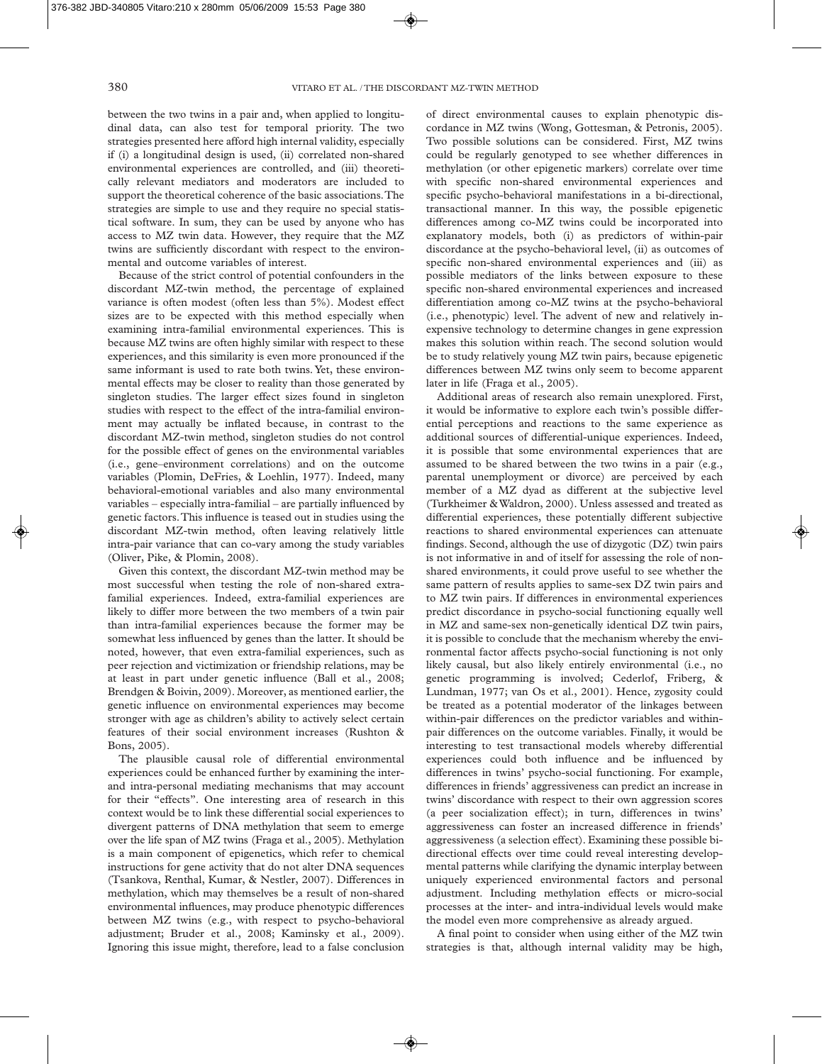between the two twins in a pair and, when applied to longitudinal data, can also test for temporal priority. The two strategies presented here afford high internal validity, especially if (i) a longitudinal design is used, (ii) correlated non-shared environmental experiences are controlled, and (iii) theoretically relevant mediators and moderators are included to support the theoretical coherence of the basic associations. The strategies are simple to use and they require no special statistical software. In sum, they can be used by anyone who has access to MZ twin data. However, they require that the MZ twins are sufficiently discordant with respect to the environmental and outcome variables of interest.

Because of the strict control of potential confounders in the discordant MZ-twin method, the percentage of explained variance is often modest (often less than 5%). Modest effect sizes are to be expected with this method especially when examining intra-familial environmental experiences. This is because MZ twins are often highly similar with respect to these experiences, and this similarity is even more pronounced if the same informant is used to rate both twins. Yet, these environmental effects may be closer to reality than those generated by singleton studies. The larger effect sizes found in singleton studies with respect to the effect of the intra-familial environment may actually be inflated because, in contrast to the discordant MZ-twin method, singleton studies do not control for the possible effect of genes on the environmental variables (i.e., gene–environment correlations) and on the outcome variables (Plomin, DeFries, & Loehlin, 1977). Indeed, many behavioral-emotional variables and also many environmental variables – especially intra-familial – are partially influenced by genetic factors. This influence is teased out in studies using the discordant MZ-twin method, often leaving relatively little intra-pair variance that can co-vary among the study variables (Oliver, Pike, & Plomin, 2008).

Given this context, the discordant MZ-twin method may be most successful when testing the role of non-shared extrafamilial experiences. Indeed, extra-familial experiences are likely to differ more between the two members of a twin pair than intra-familial experiences because the former may be somewhat less influenced by genes than the latter. It should be noted, however, that even extra-familial experiences, such as peer rejection and victimization or friendship relations, may be at least in part under genetic influence (Ball et al., 2008; Brendgen & Boivin, 2009). Moreover, as mentioned earlier, the genetic influence on environmental experiences may become stronger with age as children's ability to actively select certain features of their social environment increases (Rushton & Bons, 2005).

The plausible causal role of differential environmental experiences could be enhanced further by examining the interand intra-personal mediating mechanisms that may account for their "effects". One interesting area of research in this context would be to link these differential social experiences to divergent patterns of DNA methylation that seem to emerge over the life span of MZ twins (Fraga et al., 2005). Methylation is a main component of epigenetics, which refer to chemical instructions for gene activity that do not alter DNA sequences (Tsankova, Renthal, Kumar, & Nestler, 2007). Differences in methylation, which may themselves be a result of non-shared environmental influences, may produce phenotypic differences between MZ twins (e.g., with respect to psycho-behavioral adjustment; Bruder et al., 2008; Kaminsky et al., 2009). Ignoring this issue might, therefore, lead to a false conclusion of direct environmental causes to explain phenotypic dis cordance in MZ twins (Wong, Gottesman, & Petronis, 2005). Two possible solutions can be considered. First, MZ twins could be regularly genotyped to see whether differences in methylation (or other epigenetic markers) correlate over time with specific non-shared environmental experiences and specific psycho-behavioral manifestations in a bi-directional, transactional manner. In this way, the possible epigenetic differences among co-MZ twins could be incorporated into explanatory models, both (i) as predictors of within-pair discordance at the psycho-behavioral level, (ii) as outcomes of specific non-shared environmental experiences and (iii) as possible mediators of the links between exposure to these specific non-shared environmental experiences and increased differentiation among co-MZ twins at the psycho-behavioral (i.e., phenotypic) level. The advent of new and relatively inexpensive technology to determine changes in gene expression makes this solution within reach. The second solution would be to study relatively young MZ twin pairs, because epigenetic differences between MZ twins only seem to become apparent later in life (Fraga et al., 2005).

Additional areas of research also remain unexplored. First, it would be informative to explore each twin's possible differential perceptions and reactions to the same experience as additional sources of differential-unique experiences. Indeed, it is possible that some environmental experiences that are assumed to be shared between the two twins in a pair (e.g., parental unemployment or divorce) are perceived by each member of a MZ dyad as different at the subjective level (Turkheimer & Waldron, 2000). Unless assessed and treated as differential experiences, these potentially different subjective reactions to shared environmental experiences can attenuate findings. Second, although the use of dizygotic (DZ) twin pairs is not informative in and of itself for assessing the role of nonshared environments, it could prove useful to see whether the same pattern of results applies to same-sex DZ twin pairs and to MZ twin pairs. If differences in environmental experiences predict discordance in psycho-social functioning equally well in MZ and same-sex non-genetically identical DZ twin pairs, it is possible to conclude that the mechanism whereby the environmental factor affects psycho-social functioning is not only likely causal, but also likely entirely environmental (i.e., no genetic programming is involved; Cederlof, Friberg, & Lundman, 1977; van Os et al., 2001). Hence, zygosity could be treated as a potential moderator of the linkages between within-pair differences on the predictor variables and withinpair differences on the outcome variables. Finally, it would be interesting to test transactional models whereby differential experiences could both influence and be influenced by differences in twins' psycho-social functioning. For example, differences in friends' aggressiveness can predict an increase in twins' discordance with respect to their own aggression scores (a peer socialization effect); in turn, differences in twins' aggressiveness can foster an increased difference in friends' aggressiveness (a selection effect). Examining these possible bidirectional effects over time could reveal interesting developmental patterns while clarifying the dynamic interplay between uniquely experienced environmental factors and personal adjustment. Including methylation effects or micro-social processes at the inter- and intra-individual levels would make the model even more comprehensive as already argued.

A final point to consider when using either of the MZ twin strategies is that, although internal validity may be high,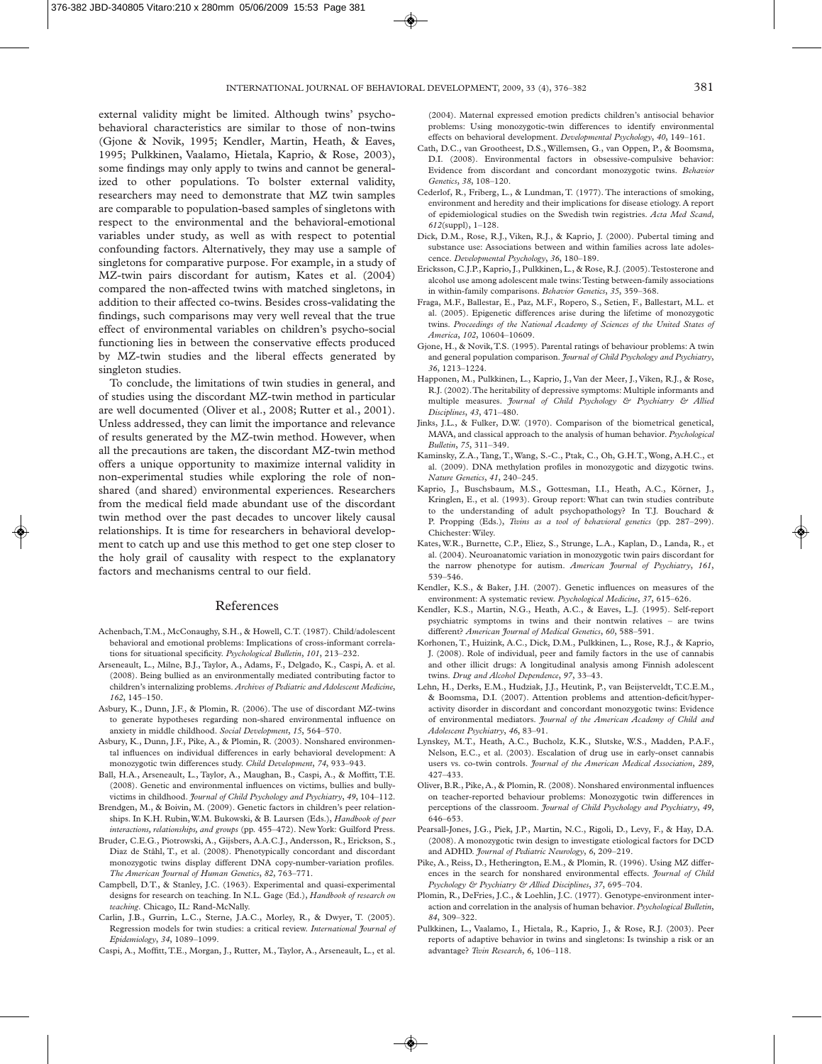external validity might be limited. Although twins' psychobehavioral characteristics are similar to those of non-twins (Gjone & Novik, 1995; Kendler, Martin, Heath, & Eaves, 1995; Pulkkinen, Vaalamo, Hietala, Kaprio, & Rose, 2003), some findings may only apply to twins and cannot be generalized to other populations. To bolster external validity, researchers may need to demonstrate that MZ twin samples are comparable to population-based samples of singletons with respect to the environmental and the behavioral-emotional variables under study, as well as with respect to potential confounding factors. Alternatively, they may use a sample of singletons for comparative purpose. For example, in a study of MZ-twin pairs discordant for autism, Kates et al. (2004) compared the non-affected twins with matched singletons, in addition to their affected co-twins. Besides cross-validating the findings, such comparisons may very well reveal that the true effect of environmental variables on children's psycho-social functioning lies in between the conservative effects produced by MZ-twin studies and the liberal effects generated by singleton studies.

To conclude, the limitations of twin studies in general, and of studies using the discordant MZ-twin method in particular are well documented (Oliver et al., 2008; Rutter et al., 2001). Unless addressed, they can limit the importance and relevance of results generated by the MZ-twin method. However, when all the precautions are taken, the discordant MZ-twin method offers a unique opportunity to maximize internal validity in non-experimental studies while exploring the role of nonshared (and shared) environmental experiences. Researchers from the medical field made abundant use of the discordant twin method over the past decades to uncover likely causal relationships. It is time for researchers in behavioral development to catch up and use this method to get one step closer to the holy grail of causality with respect to the explanatory factors and mechanisms central to our field.

#### References

- Achenbach, T.M., McConaughy, S.H., & Howell, C.T. (1987). Child/adolescent behavioral and emotional problems: Implications of cross-informant correlations for situational specificity. *Psychological Bulletin*, *101*, 213–232.
- Arseneault, L., Milne, B.J., Taylor, A., Adams, F., Delgado, K., Caspi, A. et al. (2008). Being bullied as an environmentally mediated contributing factor to children's internalizing problems. *Archives of Pediatric and Adolescent Medicine*, *162*, 145–150.
- Asbury, K., Dunn, J.F., & Plomin, R. (2006). The use of discordant MZ-twins to generate hypotheses regarding non-shared environmental influence on anxiety in middle childhood. *Social Development*, *15*, 564–570.
- Asbury, K., Dunn, J.F., Pike, A., & Plomin, R. (2003). Nonshared environmental influences on individual differences in early behavioral development: A monozygotic twin differences study. *Child Development*, *74*, 933–943.
- Ball, H.A., Arseneault, L., Taylor, A., Maughan, B., Caspi, A., & Moffitt, T.E. (2008). Genetic and environmental influences on victims, bullies and bullyvictims in childhood. *Journal of Child Psychology and Psychiatry*, *49*, 104–112.
- Brendgen, M., & Boivin, M. (2009). Genetic factors in children's peer relationships. In K.H. Rubin, W.M. Bukowski, & B. Laursen (Eds.), *Handbook of peer interactions, relationships, and groups* (pp. 455–472). New York: Guilford Press.
- Bruder, C.E.G., Piotrowski, A., Gijsbers, A.A.C.J., Andersson, R., Erickson, S., Diaz de Ståhl, T., et al. (2008). Phenotypically concordant and discordant monozygotic twins display different DNA copy-number-variation profiles. *The American Journal of Human Genetics*, *82*, 763–771.
- Campbell, D.T., & Stanley, J.C. (1963). Experimental and quasi-experimental designs for research on teaching. In N.L. Gage (Ed.), *Handbook of research on teaching*. Chicago, IL: Rand-McNally.
- Carlin, J.B., Gurrin, L.C., Sterne, J.A.C., Morley, R., & Dwyer, T. (2005). Regression models for twin studies: a critical review. *International Journal of Epidemiology*, *34*, 1089–1099.

Caspi, A., Moffitt, T.E., Morgan, J., Rutter, M., Taylor, A., Arseneault, L., et al.

(2004). Maternal expressed emotion predicts children's antisocial behavior problems: Using monozygotic-twin differences to identify environmental effects on behavioral development. *Developmental Psychology*, *40*, 149–161.

- Cath, D.C., van Grootheest, D.S., Willemsen, G., van Oppen, P., & Boomsma, D.I. (2008). Environmental factors in obsessive-compulsive behavior: Evidence from discordant and concordant monozygotic twins. *Behavior Genetics*, *38*, 108–120.
- Cederlof, R., Friberg, L., & Lundman, T. (1977). The interactions of smoking, environment and heredity and their implications for disease etiology. A report of epidemiological studies on the Swedish twin registries. *Acta Med Scand*, *612*(suppl), 1–128.
- Dick, D.M., Rose, R.J., Viken, R.J., & Kaprio, J. (2000). Pubertal timing and substance use: Associations between and within families across late adolescence. *Developmental Psychology*, *36*, 180–189.
- Ericksson, C.J.P., Kaprio, J., Pulkkinen, L., & Rose, R.J. (2005). Testosterone and alcohol use among adolescent male twins: Testing between-family associations in within-family comparisons. *Behavior Genetics*, *35*, 359–368.
- Fraga, M.F., Ballestar, E., Paz, M.F., Ropero, S., Setien, F., Ballestart, M.L. et al. (2005). Epigenetic differences arise during the lifetime of monozygotic twins. *Proceedings of the National Academy of Sciences of the United States of America*, *102*, 10604–10609.
- Gjone, H., & Novik, T.S. (1995). Parental ratings of behaviour problems: A twin and general population comparison. *Journal of Child Psychology and Psychiatry*, *36*, 1213–1224.
- Happonen, M., Pulkkinen, L., Kaprio, J., Van der Meer, J., Viken, R.J., & Rose, R.J. (2002). The heritability of depressive symptoms: Multiple informants and multiple measures. *Journal of Child Psychology & Psychiatry & Allied Disciplines*, *43*, 471–480.
- Jinks, J.L., & Fulker, D.W. (1970). Comparison of the biometrical genetical, MAVA, and classical approach to the analysis of human behavior. *Psychological Bulletin*, *75*, 311–349.
- Kaminsky, Z.A., Tang, T., Wang, S.-C., Ptak, C., Oh, G.H.T., Wong, A.H.C., et al. (2009). DNA methylation profiles in monozygotic and dizygotic twins. *Nature Genetics*, *41*, 240–245.
- Kaprio, J., Buschsbaum, M.S., Gottesman, I.I., Heath, A.C., Körner, J., Kringlen, E., et al. (1993). Group report: What can twin studies contribute to the understanding of adult psychopathology? In T.J. Bouchard & P. Propping (Eds.), *Twins as a tool of behavioral genetics* (pp. 287–299). Chichester: Wiley.
- Kates, W.R., Burnette, C.P., Eliez, S., Strunge, L.A., Kaplan, D., Landa, R., et al. (2004). Neuroanatomic variation in monozygotic twin pairs discordant for the narrow phenotype for autism. *American Journal of Psychiatry*, *161*, 539–546.
- Kendler, K.S., & Baker, J.H. (2007). Genetic influences on measures of the environment: A systematic review. *Psychological Medicine*, *37*, 615–626.
- Kendler, K.S., Martin, N.G., Heath, A.C., & Eaves, L.J. (1995). Self-report psychiatric symptoms in twins and their nontwin relatives – are twins different? *American Journal of Medical Genetics*, *60*, 588–591.
- Korhonen, T., Huizink, A.C., Dick, D.M., Pulkkinen, L., Rose, R.J., & Kaprio, J. (2008). Role of individual, peer and family factors in the use of cannabis and other illicit drugs: A longitudinal analysis among Finnish adolescent twins. *Drug and Alcohol Dependence*, *97*, 33–43.
- Lehn, H., Derks, E.M., Hudziak, J.J., Heutink, P., van Beijsterveldt, T.C.E.M., & Boomsma, D.I. (2007). Attention problems and attention-deficit/hyper activity disorder in discordant and concordant monozygotic twins: Evidence of environmental mediators. *Journal of the American Academy of Child and Adolescent Psychiatry*, *46*, 83–91.
- Lynskey, M.T., Heath, A.C., Bucholz, K.K., Slutske, W.S., Madden, P.A.F., Nelson, E.C., et al. (2003). Escalation of drug use in early-onset cannabis users vs. co-twin controls. *Journal of the American Medical Association*, *289*, 427–433.
- Oliver, B.R., Pike, A., & Plomin, R. (2008). Nonshared environmental influences on teacher-reported behaviour problems: Monozygotic twin differences in perceptions of the classroom. *Journal of Child Psychology and Psychiatry*, *49*, 646–653.
- Pearsall-Jones, J.G., Piek, J.P., Martin, N.C., Rigoli, D., Levy, F., & Hay, D.A. (2008). A monozygotic twin design to investigate etiological factors for DCD and ADHD. *Journal of Pediatric Neurology*, *6*, 209–219.
- Pike, A., Reiss, D., Hetherington, E.M., & Plomin, R. (1996). Using MZ differences in the search for nonshared environmental effects. *Journal of Child Psychology & Psychiatry & Allied Disciplines*, *37*, 695–704.
- Plomin, R., DeFries, J.C., & Loehlin, J.C. (1977). Genotype-environment interaction and correlation in the analysis of human behavior. *Psychological Bulletin*, *84*, 309–322.
- Pulkkinen, L., Vaalamo, I., Hietala, R., Kaprio, J., & Rose, R.J. (2003). Peer reports of adaptive behavior in twins and singletons: Is twinship a risk or an advantage? *Twin Research*, *6*, 106–118.